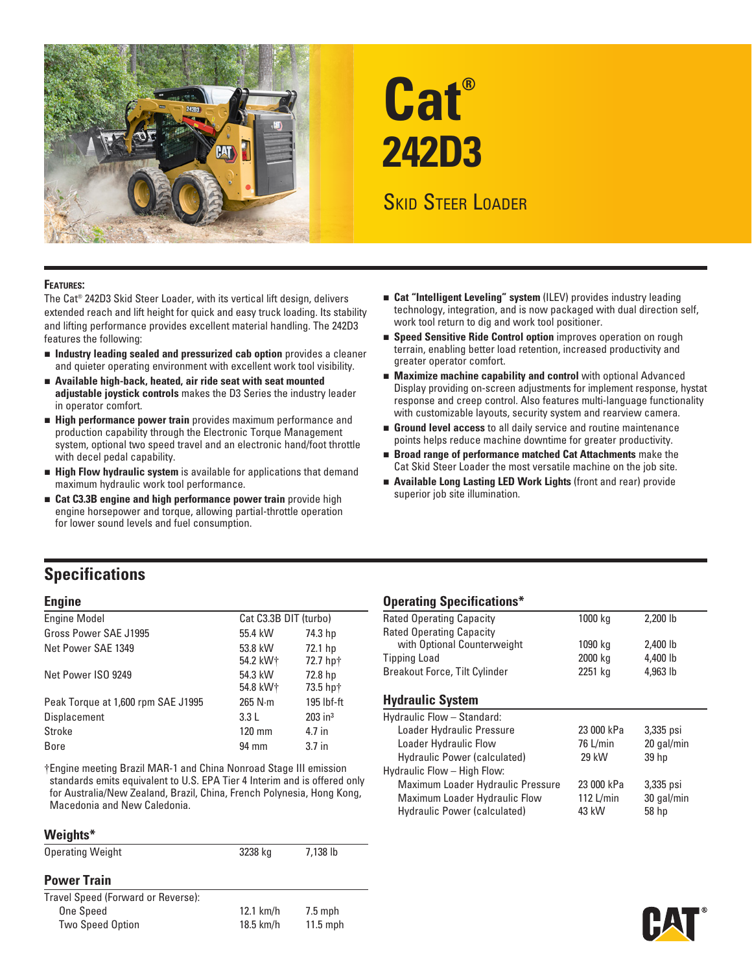

# **Cat® 242D3**

# Skid Steer Loader

#### **Features:**

The Cat® 242D3 Skid Steer Loader, with its vertical lift design, delivers extended reach and lift height for quick and easy truck loading. Its stability and lifting performance provides excellent material handling. The 242D3 features the following:

- n **Industry leading sealed and pressurized cab option** provides a cleaner and quieter operating environment with excellent work tool visibility.
- **n** Available high-back, heated, air ride seat with seat mounted **adjustable joystick controls** makes the D3 Series the industry leader in operator comfort.
- **External Performance power train** provides maximum performance and production capability through the Electronic Torque Management system, optional two speed travel and an electronic hand/foot throttle with decel pedal capability.
- **External High Flow hydraulic system** is available for applications that demand maximum hydraulic work tool performance.
- **Example 2.33B engine and high performance power train** provide high engine horsepower and torque, allowing partial-throttle operation for lower sound levels and fuel consumption.
- **Exat "Intelligent Leveling" system (ILEV)** provides industry leading technology, integration, and is now packaged with dual direction self, work tool return to dig and work tool positioner.
- **Example 3 Speed Sensitive Ride Control option** improves operation on rough terrain, enabling better load retention, increased productivity and greater operator comfort.
- **Maximize machine capability and control** with optional Advanced Display providing on-screen adjustments for implement response, hystat response and creep control. Also features multi-language functionality with customizable layouts, security system and rearview camera.
- **Ground level access** to all daily service and routine maintenance points helps reduce machine downtime for greater productivity.
- n **Broad range of performance matched Cat Attachments** make the Cat Skid Steer Loader the most versatile machine on the job site.
- **E** Available Long Lasting LED Work Lights (front and rear) provide superior job site illumination.

## **Specifications**

| <b>Engine Model</b>                | Cat C3.3B DIT (turbo) |                       |
|------------------------------------|-----------------------|-----------------------|
| Gross Power SAE J1995              | 55.4 kW               | 74.3 hp               |
| Net Power SAE 1349                 | 53.8 kW<br>54.2 kW+   | 72.1 hp<br>72.7 hp†   |
| Net Power ISO 9249                 | 54.3 kW<br>54.8 kW+   | 72.8 hp<br>73.5 hp†   |
| Peak Torque at 1,600 rpm SAE J1995 | $265$ N $\cdot$ m     | 195 lbf-ft            |
| <b>Displacement</b>                | 3.3L                  | $203$ in <sup>3</sup> |
| Stroke                             | $120 \text{ mm}$      | 4.7 in                |
| <b>Bore</b>                        | 94 mm                 | 3.7 <sub>in</sub>     |

†Engine meeting Brazil MAR-1 and China Nonroad Stage III emission standards emits equivalent to U.S. EPA Tier 4 Interim and is offered only for Australia/New Zealand, Brazil, China, French Polynesia, Hong Kong, Macedonia and New Caledonia.

#### **Weights\***

| <b>Operating Weight</b>            | 3238 kg     | 7,138 lb   |  |
|------------------------------------|-------------|------------|--|
| <b>Power Train</b>                 |             |            |  |
| Travel Speed (Forward or Reverse): |             |            |  |
| One Speed                          | $12.1$ km/h | $7.5$ mph  |  |
| <b>Two Speed Option</b>            | 18.5 km/h   | $11.5$ mph |  |
|                                    |             |            |  |

## **Engine Contract Contract Contract Contract Contract Contract Contract Contract Contract Contract Contract Contract Contract Contract Contract Contract Contract Contract Contract Contract Contract Contract Contract Contrac**

| oporating opoomoations               |         |          |  |
|--------------------------------------|---------|----------|--|
| Rated Operating Capacity             | 1000 kg | 2,200 lb |  |
| Rated Operating Capacity             |         |          |  |
| with Optional Counterweight          | 1090 kg | 2,400 lb |  |
| <b>Tipping Load</b>                  | 2000 kg | 4,400 lb |  |
| <b>Breakout Force, Tilt Cylinder</b> | 2251 kg | 4,963 lb |  |
|                                      |         |          |  |

#### **Hydraulic System**

| Hydraulic Flow - Standard:        |             |            |  |
|-----------------------------------|-------------|------------|--|
| Loader Hydraulic Pressure         | 23 000 kPa  | 3,335 psi  |  |
| Loader Hydraulic Flow             | 76 L/min    | 20 gal/min |  |
| Hydraulic Power (calculated)      | 29 kW       | 39 hp      |  |
| Hydraulic Flow - High Flow:       |             |            |  |
| Maximum Loader Hydraulic Pressure | 23 000 kPa  | 3,335 psi  |  |
| Maximum Loader Hydraulic Flow     | 112 $L/min$ | 30 gal/min |  |
| Hydraulic Power (calculated)      | 43 kW       | 58 hp      |  |
|                                   |             |            |  |

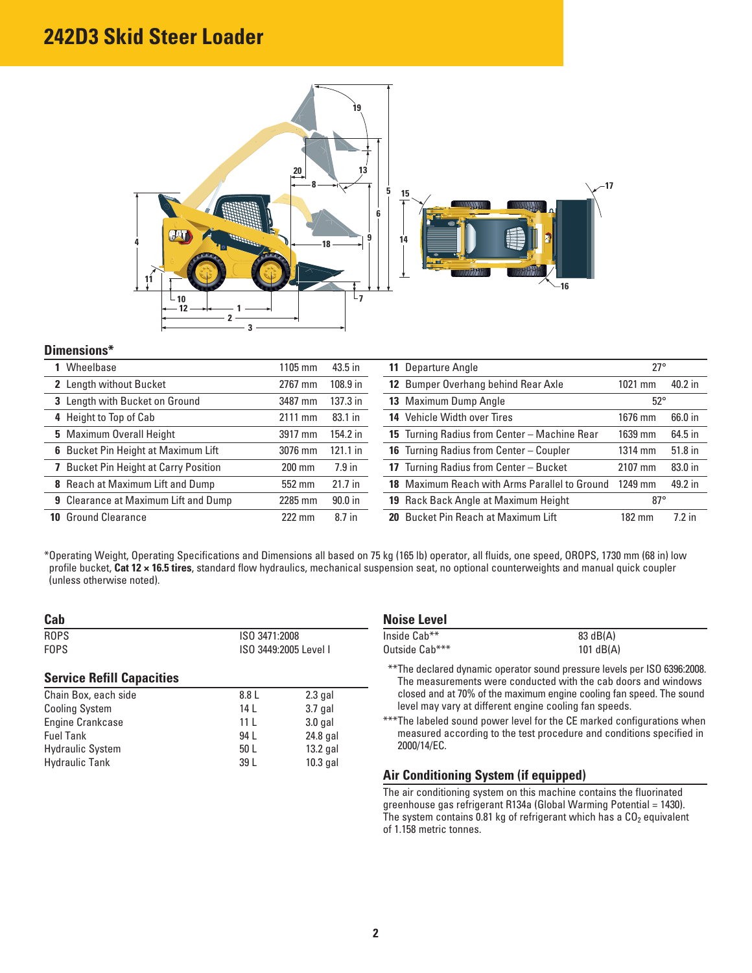# **242D3 Skid Steer Loader**



#### **Dimensions\***

| Wheelbase                                   | 1105 mm          | 43.5 in    | 11 Departure Angle                            | $27^{\circ}$     |          |
|---------------------------------------------|------------------|------------|-----------------------------------------------|------------------|----------|
| 2 Length without Bucket                     | 2767 mm          | 108.9 in   | 12 Bumper Overhang behind Rear Axle           | 1021 mm          | 40.2 in  |
| 3 Length with Bucket on Ground              | 3487 mm          | 137.3 in   | 13 Maximum Dump Angle                         | $52^{\circ}$     |          |
| 4 Height to Top of Cab                      | $2111$ mm        | 83.1 in    | 14 Vehicle Width over Tires                   | 1676 mm          | 66.0 in  |
| 5 Maximum Overall Height                    | 3917 mm          | 154.2 in   | 15 Turning Radius from Center - Machine Rear  | 1639 mm          | 64.5 in  |
| 6 Bucket Pin Height at Maximum Lift         | 3076 mm          | $121.1$ in | 16 Turning Radius from Center - Coupler       | 1314 mm          | 51.8 in  |
| <b>Bucket Pin Height at Carry Position</b>  | $200$ mm         | $7.9$ in   | 17 Turning Radius from Center - Bucket        | 2107 mm          | 83.0 in  |
| 8 Reach at Maximum Lift and Dump            | 552 mm           | $21.7$ in  | 18 Maximum Reach with Arms Parallel to Ground | 1249 mm          | 49.2 in  |
| <b>9</b> Clearance at Maximum Lift and Dump | 2285 mm          | $90.0$ in  | 19 Rack Back Angle at Maximum Height          | $87^\circ$       |          |
| <b>10 Ground Clearance</b>                  | $222 \text{ mm}$ | 8.7 in     | 20 Bucket Pin Reach at Maximum Lift           | $182 \text{ mm}$ | $7.2$ in |

\* Operating Weight, Operating Specifications and Dimensions all based on 75 kg (165 lb) operator, all fluids, one speed, OROPS, 1730 mm (68 in) low profile bucket, **Cat 12 × 16.5 tires**, standard flow hydraulics, mechanical suspension seat, no optional counterweights and manual quick coupler (unless otherwise noted).

| Cab                              |                 |                       | <b>Noise Level</b>                                                                                     |             |
|----------------------------------|-----------------|-----------------------|--------------------------------------------------------------------------------------------------------|-------------|
| <b>ROPS</b>                      | ISO 3471:2008   |                       | Inside Cab**                                                                                           | 83 dB(A)    |
| <b>FOPS</b>                      |                 | ISO 3449:2005 Level I | Outside Cab***                                                                                         | 101 $dB(A)$ |
| <b>Service Refill Capacities</b> |                 |                       | **The declared dynamic operator sound pressure level<br>The measurements were conducted with the cab d |             |
| Chain Box, each side             | 8.8 L           | $2.3$ gal             | closed and at 70% of the maximum engine cooling far-                                                   |             |
| <b>Cooling System</b>            | 14 L            | $3.7$ gal             | level may vary at different engine cooling fan speed                                                   |             |
| Engine Crankcase                 | 11 <sup>L</sup> | $3.0$ gal             | *** The labeled sound power level for the CE marked com-                                               |             |
| <b>Fuel Tank</b>                 | 94 L            | 24.8 gal              | measured according to the test procedure and con                                                       |             |
| <b>Hydraulic System</b>          | 50 <sub>L</sub> | $13.2$ gal            | 2000/14/EC.                                                                                            |             |
| <b>Hydraulic Tank</b>            | 39 L            | $10.3$ gal            |                                                                                                        |             |

|  | Noise Level |  |
|--|-------------|--|
|  |             |  |

| Inside Cab**   | 83 dB(A)    |
|----------------|-------------|
| Outside Cab*** | $101$ dB(A) |

- \*\*\* The declared dynamic operator sound pressure levels per ISO 6396:2008. **Service Refill Capacities** The measurements were conducted with the cab doors and windows closed and at 70% of the maximum engine cooling fan speed. The sound level may vary at different engine cooling fan speeds.
- \*\*\* The labeled sound power level for the CE marked configurations when measured according to the test procedure and conditions specified in 2000/14/EC.

#### **Air Conditioning System (if equipped)**

The air conditioning system on this machine contains the fluorinated greenhouse gas refrigerant R134a (Global Warming Potential = 1430). The system contains 0.81 kg of refrigerant which has a  $CO<sub>2</sub>$  equivalent of 1.158 metric tonnes.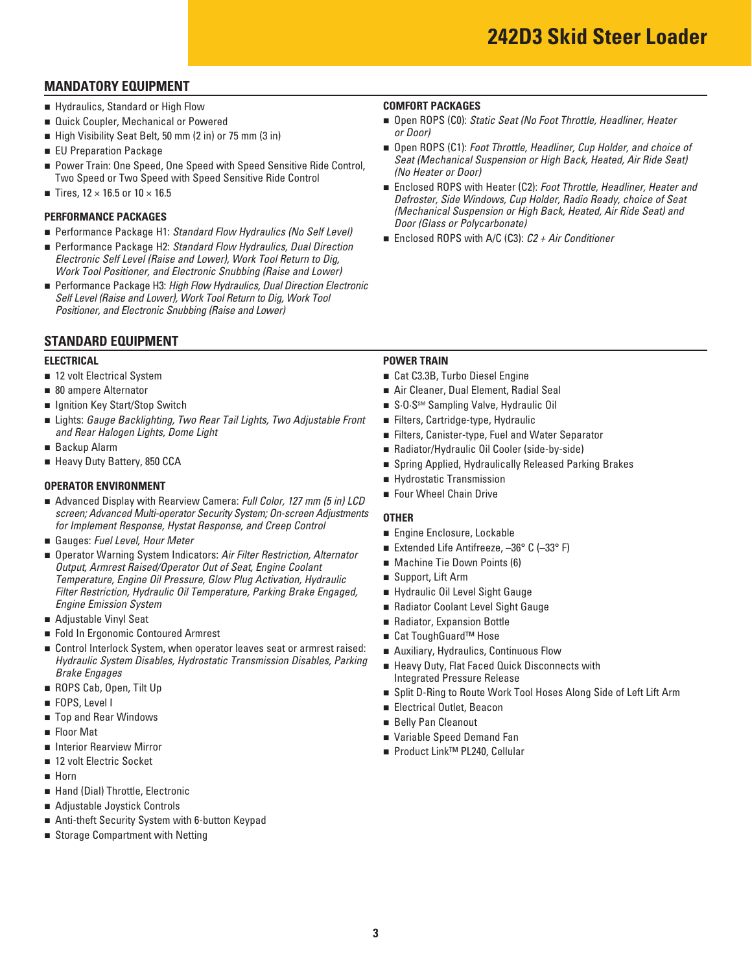## **MANDATORY EQUIPMENT**

- **E** Hydraulics, Standard or High Flow
- **Quick Coupler, Mechanical or Powered**
- High Visibility Seat Belt, 50 mm (2 in) or 75 mm (3 in)
- **EU Preparation Package**
- Power Train: One Speed, One Speed with Speed Sensitive Ride Control, Two Speed or Two Speed with Speed Sensitive Ride Control
- Tires,  $12 \times 16.5$  or  $10 \times 16.5$

#### **PERFORMANCE PACKAGES**

- Performance Package H1: Standard Flow Hydraulics (No Self Level)
- Performance Package H2: Standard Flow Hydraulics, Dual Direction *Electronic Self Level (Raise and Lower), Work Tool Return to Dig, Work Tool Positioner, and Electronic Snubbing (Raise and Lower)*
- Performance Package H3: *High Flow Hydraulics, Dual Direction Electronic Self Level (Raise and Lower), Work Tool Return to Dig, Work Tool Positioner, and Electronic Snubbing (Raise and Lower)*

### **STANDARD EQUIPMENT**

- 12 volt Electrical System
- 80 ampere Alternator
- **u** Ignition Key Start/Stop Switch
- n Lights: *Gauge Backlighting, Two Rear Tail Lights, Two Adjustable Front* n Filters, Cartridge-type, Hydraulic and Rear Halogen Lights, Dome Light **now are all real controlled to the Secure Conventuon** Filters, Canister-type, Fuel and Water Separator
- **Backup Alarm**
- 

- **OPERATOR ENVIRONMENT**<br>■ Advanced Display with Rearview Camera: *Full Color, 127 mm (5 in) LCD* Four Wheel Chain Drive
- Gauges: Fuel Level, Hour Meter
- *Engine Emission System COOLAGER <b>EXECUTE:* **COOLAGER 2018 n** Radiator Coolant Level Sight Gauge screen; Advanced Multi-operator Security System; On-screen Adjustments<br>
for Implement Response, Hystat Response, and Creep Control<br>
■ Gauges: Fuel Level, Hour Meter<br>
■ Operator Warning System Indicators: Air Filter Restri **Output, Armrest Raised/Operator Out of Seat, Engine Coolant Temperature, Engine Oil Pressure, Glow Plug Activation, Hydraulic** *Filter Restriction, Hydraulic Oil Temperature, Parking Brake Engaged, <br>Engine Emission System*
- **Adjustable Vinyl Seat**
- Fold In Ergonomic Contoured Armrest n Cat ToughGuard™ Hose
- Control Interlock System, when operator leaves seat or armrest raised: <br>Hydraulic System Disables, Hydrostatic Transmission Disables, Parking Brake Engages<br>Brake Engages<br>Integrated Pressure Release
- ROPS Cab, Open, Tilt Up
- **FOPS, Level I**
- **The Selly Pan Cleanout The Selly Pan Cleanout n** Belly Pan Cleanout
- **Reduced** Floor Mat
- **n** Interior Rearview Mirror
- 12 volt Electric Socket
- n Horn
- Hand (Dial) Throttle, Electronic
- n Adjustable Joystick Controls
- Anti-theft Security System with 6-button Keypad
- **B** Storage Compartment with Netting

#### **COMFORT PACKAGES**

- Open ROPS (C0): *Static Seat (No Foot Throttle, Headliner, Heater or Door)*
- Open ROPS (C1): *Foot Throttle, Headliner, Cup Holder, and choice of Seat (Mechanical Suspension or High Back, Heated, Air Ride Seat) (No Heater or Door)*
- Enclosed ROPS with Heater (C2): *Foot Throttle, Headliner, Heater and Defroster, Side Windows, Cup Holder, Radio Ready, choice of Seat (Mechanical Suspension or High Back, Heated, Air Ride Seat) and Door (Glass or Polycarbonate)*
- Enclosed ROPS with A/C (C3): *C2 + Air Conditioner*

#### **ELECTRICAL POWER TRAIN**

- 12 volt Electrical System n Cat C3.3B, Turbo Diesel Engine
- **1** 80 ampere Alternator **120 ampere Alternator** 1 **Air Cleaner, Dual Element, Radial Seal**
- **n** Ignition Key Start/Stop Switch n S·O·SSM Sampling Valve, Hydraulic Oil
	- Filters, Cartridge-type, Hydraulic
	-
- Backup Alarm **n Radiator/Hydraulic Oil Cooler (side-by-side)**
- Heavy Duty Battery, 850 CCA n Spring Applied, Hydraulically Released Parking Brakes
	- **Exercise Hydrostatic Transmission**
	- Four Wheel Chain Drive

- **Engine Enclosure, Lockable**
- Extended Life Antifreeze,  $-36^{\circ}$  C ( $-33^{\circ}$  F)
- Machine Tie Down Points (6)
- Support, Lift Arm
- Hydraulic Oil Level Sight Gauge
- 
- **Adjustable Vinyl Seat 19 and Radiator, Expansion Bottle** 
	- Cat ToughGuard<sup>™</sup> Hose
	- **E** Auxiliary, Hydraulics, Continuous Flow
	- **Example 2** Heavy Duty, Flat Faced Quick Disconnects with
- **n** ROPS Cab, Open, Tilt Up **n Split D-Ring to Route Work Tool Hoses Along Side of Left Lift Arm**
- FOPS, Level I<br>■ Electrical Outlet, Beacon
	- **Belly Pan Cleanout**
- Floor Mat n Variable Speed Demand Fan
- Interior Rearview Mirror n Product Link<sup>™</sup> PL240, Cellular